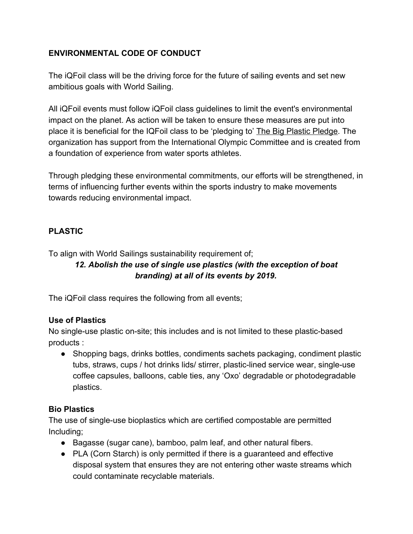# **ENVIRONMENTAL CODE OF CONDUCT**

The iQFoil class will be the driving force for the future of sailing events and set new ambitious goals with World Sailing.

All iQFoil events must follow iQFoil class guidelines to limit the event's environmental impact on the planet. As action will be taken to ensure these measures are put into place it is beneficial for the IQFoil class to be 'pledging to' [The Big Plastic Pledge.](https://bigplasticpledge.com/) The organization has support from the International Olympic Committee and is created from a foundation of experience from water sports athletes.

Through pledging these environmental commitments, our efforts will be strengthened, in terms of influencing further events within the sports industry to make movements towards reducing environmental impact.

# **PLASTIC**

To align with World Sailings sustainability requirement of;

# *12. Abolish the use of single use plastics (with the exception of boat branding) at all of its events by 2019.*

The iQFoil class requires the following from all events;

### **Use of Plastics**

No single-use plastic on-site; this includes and is not limited to these plastic-based products :

● Shopping bags, drinks bottles, condiments sachets packaging, condiment plastic tubs, straws, cups / hot drinks lids/ stirrer, plastic-lined service wear, single-use coffee capsules, balloons, cable ties, any 'Oxo' degradable or photodegradable plastics.

### **Bio Plastics**

The use of single-use bioplastics which are certified compostable are permitted Including;

- Bagasse (sugar cane), bamboo, palm leaf, and other natural fibers.
- PLA (Corn Starch) is only permitted if there is a quaranteed and effective disposal system that ensures they are not entering other waste streams which could contaminate recyclable materials.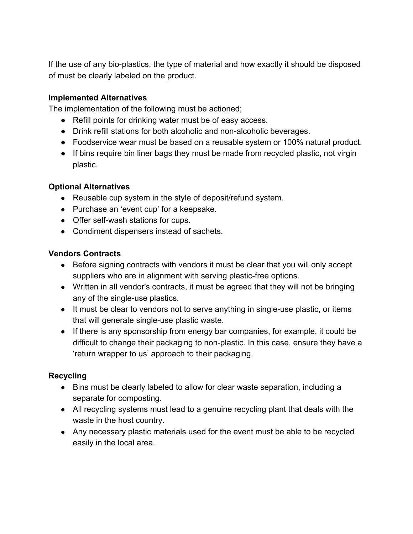If the use of any bio-plastics, the type of material and how exactly it should be disposed of must be clearly labeled on the product.

#### **Implemented Alternatives**

The implementation of the following must be actioned;

- Refill points for drinking water must be of easy access.
- Drink refill stations for both alcoholic and non-alcoholic beverages.
- Foodservice wear must be based on a reusable system or 100% natural product.
- If bins require bin liner bags they must be made from recycled plastic, not virgin plastic.

#### **Optional Alternatives**

- Reusable cup system in the style of deposit/refund system.
- Purchase an 'event cup' for a keepsake.
- Offer self-wash stations for cups.
- Condiment dispensers instead of sachets.

### **Vendors Contracts**

- Before signing contracts with vendors it must be clear that you will only accept suppliers who are in alignment with serving plastic-free options.
- Written in all vendor's contracts, it must be agreed that they will not be bringing any of the single-use plastics.
- It must be clear to vendors not to serve anything in single-use plastic, or items that will generate single-use plastic waste.
- If there is any sponsorship from energy bar companies, for example, it could be difficult to change their packaging to non-plastic. In this case, ensure they have a 'return wrapper to us' approach to their packaging.

### **Recycling**

- Bins must be clearly labeled to allow for clear waste separation, including a separate for composting.
- All recycling systems must lead to a genuine recycling plant that deals with the waste in the host country.
- Any necessary plastic materials used for the event must be able to be recycled easily in the local area.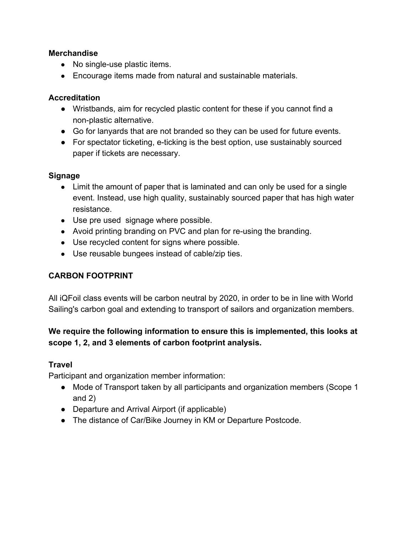#### **Merchandise**

- No single-use plastic items.
- Encourage items made from natural and sustainable materials.

#### **Accreditation**

- Wristbands, aim for recycled plastic content for these if you cannot find a non-plastic alternative.
- Go for lanyards that are not branded so they can be used for future events.
- For spectator ticketing, e-ticking is the best option, use sustainably sourced paper if tickets are necessary.

#### **Signage**

- Limit the amount of paper that is laminated and can only be used for a single event. Instead, use high quality, sustainably sourced paper that has high water resistance.
- Use pre used signage where possible.
- Avoid printing branding on PVC and plan for re-using the branding.
- Use recycled content for signs where possible.
- Use reusable bungees instead of cable/zip ties.

### **CARBON FOOTPRINT**

All iQFoil class events will be carbon neutral by 2020, in order to be in line with World Sailing's carbon goal and extending to transport of sailors and organization members.

# **We require the following information to ensure this is implemented, this looks at scope 1, 2, and 3 elements of carbon footprint analysis.**

### **Travel**

Participant and organization member information:

- Mode of Transport taken by all participants and organization members (Scope 1 and 2)
- Departure and Arrival Airport (if applicable)
- The distance of Car/Bike Journey in KM or Departure Postcode.